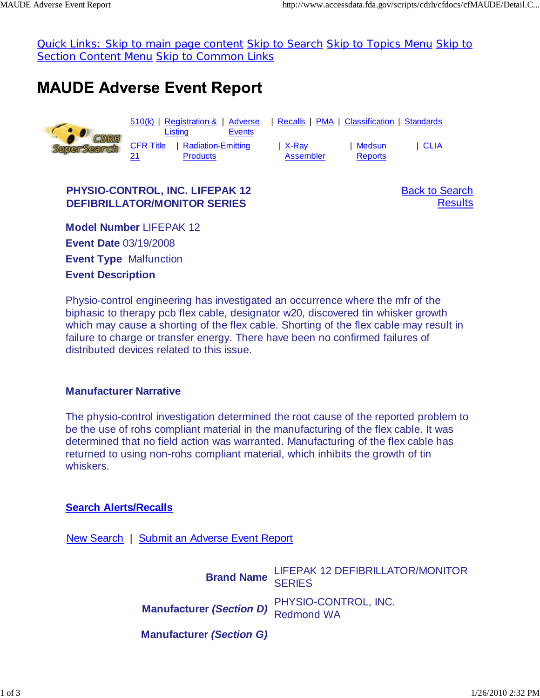Quick Links: Skip to main page content Skip to Search Skip to Topics Menu Skip to Section Content Menu Skip to Common Links

# **MAUDE Adverse Event Report**



### **PHYSIO-CONTROL, INC. LIFEPAK 12 DEFIBRILLATOR/MONITOR SERIES**

Back to Search **Results** 

**Model Number** LIFEPAK 12 **Event Date** 03/19/2008 **Event Type** Malfunction **Event Description**

Physio-control engineering has investigated an occurrence where the mfr of the biphasic to therapy pcb flex cable, designator w20, discovered tin whisker growth which may cause a shorting of the flex cable. Shorting of the flex cable may result in failure to charge or transfer energy. There have been no confirmed failures of distributed devices related to this issue.

#### **Manufacturer Narrative**

The physio-control investigation determined the root cause of the reported problem to be the use of rohs compliant material in the manufacturing of the flex cable. It was determined that no field action was warranted. Manufacturing of the flex cable has returned to using non-rohs compliant material, which inhibits the growth of tin whiskers.

#### **Search Alerts/Recalls**

New Search | Submit an Adverse Event Report

**Brand Name** LIFEPAK 12 DEFIBRILLATOR/MONITOR SERIES **Manufacturer** *(Section D)* PHYSIO-CONTROL, INC. Redmond WA **Manufacturer** *(Section G)*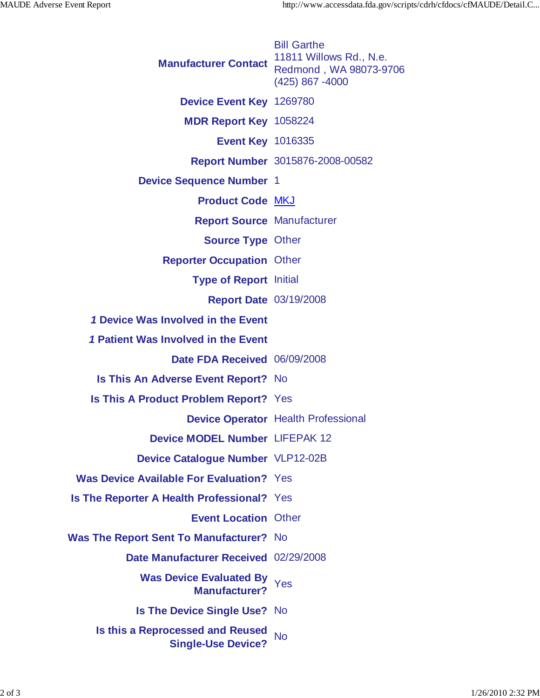| <b>Manufacturer Contact</b>                                          | <b>Bill Garthe</b><br>11811 Willows Rd., N.e.<br>Redmond, WA 98073-9706<br>(425) 867 -4000 |
|----------------------------------------------------------------------|--------------------------------------------------------------------------------------------|
| Device Event Key 1269780                                             |                                                                                            |
| MDR Report Key 1058224                                               |                                                                                            |
| <b>Event Key 1016335</b>                                             |                                                                                            |
|                                                                      | Report Number 3015876-2008-00582                                                           |
| <b>Device Sequence Number 1</b>                                      |                                                                                            |
| <b>Product Code MKJ</b>                                              |                                                                                            |
| <b>Report Source Manufacturer</b>                                    |                                                                                            |
| <b>Source Type Other</b>                                             |                                                                                            |
| <b>Reporter Occupation Other</b>                                     |                                                                                            |
| <b>Type of Report Initial</b>                                        |                                                                                            |
| <b>Report Date 03/19/2008</b>                                        |                                                                                            |
| 1 Device Was Involved in the Event                                   |                                                                                            |
| 1 Patient Was Involved in the Event                                  |                                                                                            |
| Date FDA Received 06/09/2008                                         |                                                                                            |
| <b>Is This An Adverse Event Report?</b> No                           |                                                                                            |
| Is This A Product Problem Report? Yes                                |                                                                                            |
|                                                                      | <b>Device Operator Health Professional</b>                                                 |
| Device MODEL Number LIFEPAK 12                                       |                                                                                            |
| <b>Device Catalogue Number VLP12-02B</b>                             |                                                                                            |
| <b>Was Device Available For Evaluation?</b> Yes                      |                                                                                            |
| Is The Reporter A Health Professional? Yes                           |                                                                                            |
| <b>Event Location Other</b>                                          |                                                                                            |
| <b>Was The Report Sent To Manufacturer?</b> No                       |                                                                                            |
| Date Manufacturer Received 02/29/2008                                |                                                                                            |
| <b>Was Device Evaluated By</b><br><b>Manufacturer?</b>               | Yes                                                                                        |
| <b>Is The Device Single Use? No</b>                                  |                                                                                            |
| <b>Is this a Reprocessed and Reused</b><br><b>Single-Use Device?</b> | <b>No</b>                                                                                  |